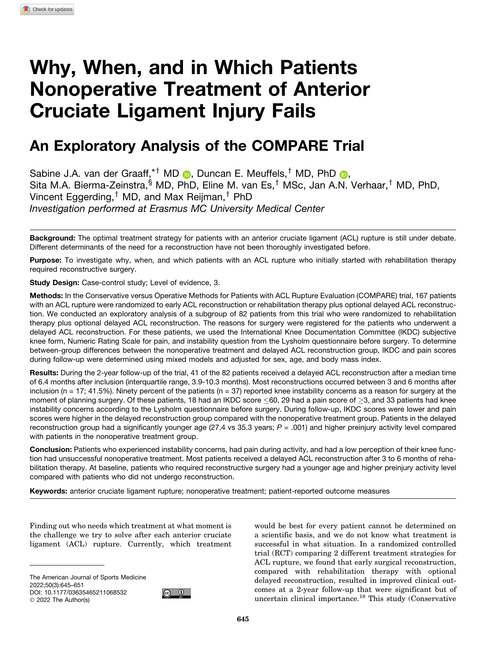# Why, When, and in Which Patients Nonoperative Treatment of Anterior Cruciate Ligament Injury Fails

# An Exploratory Analysis of the COMPARE Trial

Sabine J.A. van der Graaff,<sup>\*†</sup> MD **D**, Duncan E. Meuffels,<sup>†</sup> MD, PhD **D**, Sita M.A. Bierma-Zeinstra, $\frac{1}{3}$  MD, PhD, Eline M. van Es,<sup>†</sup> MSc, Jan A.N. Verhaar,<sup>†</sup> MD, PhD, Vincent Eggerding,<sup>†</sup> MD, and Max Reijman,<sup>†</sup> PhD *Investigation performed at Erasmus MC University Medical Center*

Background: The optimal treatment strategy for patients with an anterior cruciate ligament (ACL) rupture is still under debate. Different determinants of the need for a reconstruction have not been thoroughly investigated before.

Purpose: To investigate why, when, and which patients with an ACL rupture who initially started with rehabilitation therapy required reconstructive surgery.

Study Design: Case-control study; Level of evidence, 3.

Methods: In the Conservative versus Operative Methods for Patients with ACL Rupture Evaluation (COMPARE) trial, 167 patients with an ACL rupture were randomized to early ACL reconstruction or rehabilitation therapy plus optional delayed ACL reconstruction. We conducted an exploratory analysis of a subgroup of 82 patients from this trial who were randomized to rehabilitation therapy plus optional delayed ACL reconstruction. The reasons for surgery were registered for the patients who underwent a delayed ACL reconstruction. For these patients, we used the International Knee Documentation Committee (IKDC) subjective knee form, Numeric Rating Scale for pain, and instability question from the Lysholm questionnaire before surgery. To determine between-group differences between the nonoperative treatment and delayed ACL reconstruction group, IKDC and pain scores during follow-up were determined using mixed models and adjusted for sex, age, and body mass index.

Results: During the 2-year follow-up of the trial, 41 of the 82 patients received a delayed ACL reconstruction after a median time of 6.4 months after inclusion (interquartile range, 3.9-10.3 months). Most reconstructions occurred between 3 and 6 months after inclusion ( $n = 17$ ; 41.5%). Ninety percent of the patients ( $n = 37$ ) reported knee instability concerns as a reason for surgery at the moment of planning surgery. Of these patients, 18 had an IKDC score ≤60, 29 had a pain score of ≥3, and 33 patients had knee instability concerns according to the Lysholm questionnaire before surgery. During follow-up, IKDC scores were lower and pain scores were higher in the delayed reconstruction group compared with the nonoperative treatment group. Patients in the delayed reconstruction group had a significantly younger age (27.4 vs 35.3 years; *P* = .001) and higher preinjury activity level compared with patients in the nonoperative treatment group.

Conclusion: Patients who experienced instability concerns, had pain during activity, and had a low perception of their knee function had unsuccessful nonoperative treatment. Most patients received a delayed ACL reconstruction after 3 to 6 months of rehabilitation therapy. At baseline, patients who required reconstructive surgery had a younger age and higher preinjury activity level compared with patients who did not undergo reconstruction.

Keywords: anterior cruciate ligament rupture; nonoperative treatment; patient-reported outcome measures

Finding out who needs which treatment at what moment is the challenge we try to solve after each anterior cruciate ligament (ACL) rupture. Currently, which treatment

The American Journal of Sports Medicine 2022;50(3):645–651 DOI: 10.1177/03635465211068532 © 2022 The Author(s)



would be best for every patient cannot be determined on a scientific basis, and we do not know what treatment is successful in what situation. In a randomized controlled trial (RCT) comparing 2 different treatment strategies for ACL rupture, we found that early surgical reconstruction, compared with rehabilitation therapy with optional delayed reconstruction, resulted in improved clinical outcomes at a 2-year follow-up that were significant but of uncertain clinical importance. $^{18}$  This study (Conservative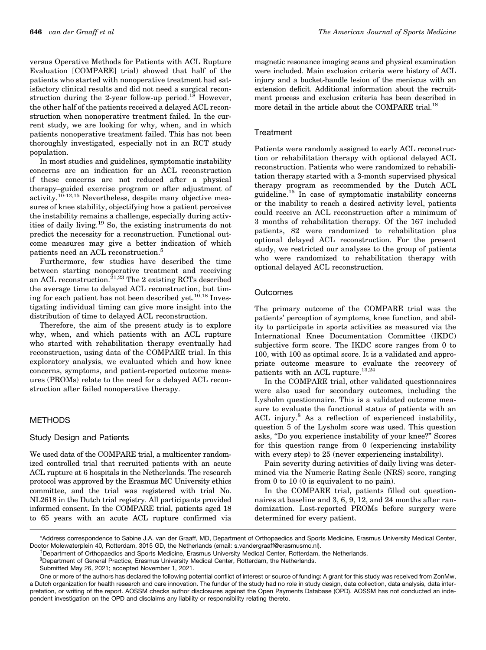versus Operative Methods for Patients with ACL Rupture Evaluation [COMPARE] trial) showed that half of the patients who started with nonoperative treatment had satisfactory clinical results and did not need a surgical reconstruction during the 2-year follow-up period.<sup>18</sup> However, the other half of the patients received a delayed ACL reconstruction when nonoperative treatment failed. In the current study, we are looking for why, when, and in which patients nonoperative treatment failed. This has not been thoroughly investigated, especially not in an RCT study population.

In most studies and guidelines, symptomatic instability concerns are an indication for an ACL reconstruction if these concerns are not reduced after a physical therapy–guided exercise program or after adjustment of activity.10-12,15 Nevertheless, despite many objective measures of knee stability, objectifying how a patient perceives the instability remains a challenge, especially during activities of daily living.<sup>19</sup> So, the existing instruments do not predict the necessity for a reconstruction. Functional outcome measures may give a better indication of which patients need an ACL reconstruction.<sup>5</sup>

Furthermore, few studies have described the time between starting nonoperative treatment and receiving an ACL reconstruction.<sup>21,23</sup> The 2 existing RCTs described the average time to delayed ACL reconstruction, but timing for each patient has not been described yet.<sup>10,18</sup> Investigating individual timing can give more insight into the distribution of time to delayed ACL reconstruction.

Therefore, the aim of the present study is to explore why, when, and which patients with an ACL rupture who started with rehabilitation therapy eventually had reconstruction, using data of the COMPARE trial. In this exploratory analysis, we evaluated which and how knee concerns, symptoms, and patient-reported outcome measures (PROMs) relate to the need for a delayed ACL reconstruction after failed nonoperative therapy.

# METHODS

### Study Design and Patients

We used data of the COMPARE trial, a multicenter randomized controlled trial that recruited patients with an acute ACL rupture at 6 hospitals in the Netherlands. The research protocol was approved by the Erasmus MC University ethics committee, and the trial was registered with trial No. NL2618 in the Dutch trial registry. All participants provided informed consent. In the COMPARE trial, patients aged 18 to 65 years with an acute ACL rupture confirmed via magnetic resonance imaging scans and physical examination were included. Main exclusion criteria were history of ACL injury and a bucket-handle lesion of the meniscus with an extension deficit. Additional information about the recruitment process and exclusion criteria has been described in more detail in the article about the COMPARE trial.<sup>18</sup>

#### **Treatment**

Patients were randomly assigned to early ACL reconstruction or rehabilitation therapy with optional delayed ACL reconstruction. Patients who were randomized to rehabilitation therapy started with a 3-month supervised physical therapy program as recommended by the Dutch ACL guideline.<sup>15</sup> In case of symptomatic instability concerns or the inability to reach a desired activity level, patients could receive an ACL reconstruction after a minimum of 3 months of rehabilitation therapy. Of the 167 included patients, 82 were randomized to rehabilitation plus optional delayed ACL reconstruction. For the present study, we restricted our analyses to the group of patients who were randomized to rehabilitation therapy with optional delayed ACL reconstruction.

#### **Outcomes**

The primary outcome of the COMPARE trial was the patients' perception of symptoms, knee function, and ability to participate in sports activities as measured via the International Knee Documentation Committee (IKDC) subjective form score. The IKDC score ranges from 0 to 100, with 100 as optimal score. It is a validated and appropriate outcome measure to evaluate the recovery of patients with an ACL rupture.<sup>13,24</sup>

In the COMPARE trial, other validated questionnaires were also used for secondary outcomes, including the Lysholm questionnaire. This is a validated outcome measure to evaluate the functional status of patients with an ACL injury.<sup>8</sup> As a reflection of experienced instability, question 5 of the Lysholm score was used. This question asks, ''Do you experience instability of your knee?'' Scores for this question range from 0 (experiencing instability with every step) to 25 (never experiencing instability).

Pain severity during activities of daily living was determined via the Numeric Rating Scale (NRS) score, ranging from 0 to 10 (0 is equivalent to no pain).

In the COMPARE trial, patients filled out questionnaires at baseline and 3, 6, 9, 12, and 24 months after randomization. Last-reported PROMs before surgery were determined for every patient.

<sup>\*</sup>Address correspondence to Sabine J.A. van der Graaff, MD, Department of Orthopaedics and Sports Medicine, Erasmus University Medical Center, Doctor Molewaterplein 40, Rotterdam, 3015 GD, the Netherlands (email: s.vandergraaff@erasmusmc.nl).

<sup>&</sup>lt;sup>+</sup>Department of Orthopaedics and Sports Medicine, Erasmus University Medical Center, Rotterdam, the Netherlands.

<sup>§</sup> Department of General Practice, Erasmus University Medical Center, Rotterdam, the Netherlands.

Submitted May 26, 2021; accepted November 1, 2021.

One or more of the authors has declared the following potential conflict of interest or source of funding: A grant for this study was received from ZonMw, a Dutch organization for health research and care innovation. The funder of the study had no role in study design, data collection, data analysis, data interpretation, or writing of the report. AOSSM checks author disclosures against the Open Payments Database (OPD). AOSSM has not conducted an independent investigation on the OPD and disclaims any liability or responsibility relating thereto.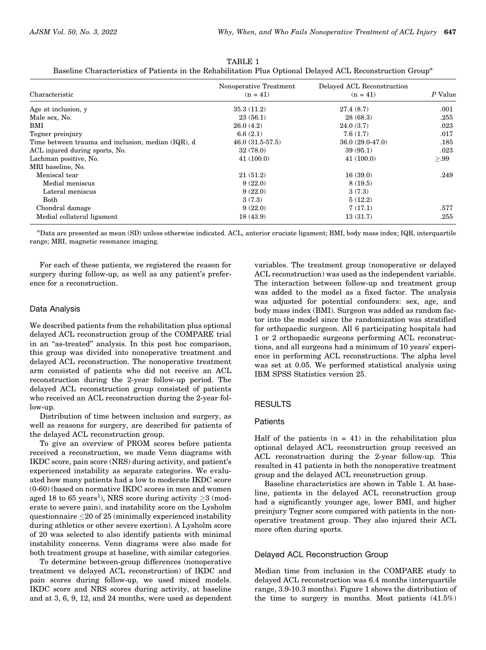|                                                    | Nonoperative Treatment | Delayed ACL Reconstruction | P Value |  |
|----------------------------------------------------|------------------------|----------------------------|---------|--|
| Characteristic                                     | $(n = 41)$             | $(n = 41)$                 |         |  |
| Age at inclusion, y                                | 35.3(11.2)             | 27.4(8.7)                  | .001    |  |
| Male sex, No.                                      | 23(56.1)               | 28(68.3)                   | .255    |  |
| BMI                                                | 26.0(4.2)              | 24.0(3.7)                  | .023    |  |
| Tegner preinjury                                   | 6.6(2.1)               | 7.6(1.7)                   | .017    |  |
| Time between trauma and inclusion, median (IQR), d | $46.0(31.5-57.5)$      | $36.0(29.0-47.0)$          | .185    |  |
| ACL injured during sports, No.                     | 32(78.0)               | 39(95.1)                   | .023    |  |
| Lachman positive, No.                              | 41(100.0)              | 41(100.0)                  | >.99    |  |
| MRI baseline, No.                                  |                        |                            |         |  |
| Meniscal tear                                      | 21(51.2)               | 16(39.0)                   | .249    |  |
| Medial meniscus                                    | 9(22.0)                | 8(19.5)                    |         |  |
| Lateral meniscus                                   | 9(22.0)                | 3(7.3)                     |         |  |
| Both                                               | 3(7.3)                 | 5(12.2)                    |         |  |
| Chondral damage                                    | 9(22.0)                | 7(17.1)                    | .577    |  |
| Medial collateral ligament                         | 18(43.9)               | 13(31.7)                   | .255    |  |

TABLE 1 Baseline Characteristics of Patients in the Rehabilitation Plus Optional Delayed ACL Reconstruction Group<sup>a</sup>

a Data are presented as mean (SD) unless otherwise indicated. ACL, anterior cruciate ligament; BMI, body mass index; IQR, interquartile range; MRI, magnetic resonance imaging.

For each of these patients, we registered the reason for surgery during follow-up, as well as any patient's preference for a reconstruction.

#### Data Analysis

We described patients from the rehabilitation plus optional delayed ACL reconstruction group of the COMPARE trial in an ''as-treated'' analysis. In this post hoc comparison, this group was divided into nonoperative treatment and delayed ACL reconstruction. The nonoperative treatment arm consisted of patients who did not receive an ACL reconstruction during the 2-year follow-up period. The delayed ACL reconstruction group consisted of patients who received an ACL reconstruction during the 2-year follow-up.

Distribution of time between inclusion and surgery, as well as reasons for surgery, are described for patients of the delayed ACL reconstruction group.

To give an overview of PROM scores before patients received a reconstruction, we made Venn diagrams with IKDC score, pain score (NRS) during activity, and patient's experienced instability as separate categories. We evaluated how many patients had a low to moderate IKDC score (0-60) (based on normative IKDC scores in men and women aged 18 to 65 years<sup>1</sup>), NRS score during activity  $\geq$ 3 (moderate to severe pain), and instability score on the Lysholm questionnaire  ${\leq}20$  of  $25$  (minimally experienced instability during athletics or other severe exertion). A Lysholm score of 20 was selected to also identify patients with minimal instability concerns. Venn diagrams were also made for both treatment groups at baseline, with similar categories.

To determine between-group differences (nonoperative treatment vs delayed ACL reconstruction) of IKDC and pain scores during follow-up, we used mixed models. IKDC score and NRS scores during activity, at baseline and at 3, 6, 9, 12, and 24 months, were used as dependent

variables. The treatment group (nonoperative or delayed ACL reconstruction) was used as the independent variable. The interaction between follow-up and treatment group was added to the model as a fixed factor. The analysis was adjusted for potential confounders: sex, age, and body mass index (BMI). Surgeon was added as random factor into the model since the randomization was stratified for orthopaedic surgeon. All 6 participating hospitals had 1 or 2 orthopaedic surgeons performing ACL reconstructions, and all surgeons had a minimum of 10 years' experience in performing ACL reconstructions. The alpha level was set at 0.05. We performed statistical analysis using IBM SPSS Statistics version 25.

# **RESULTS**

#### Patients

Half of the patients  $(n = 41)$  in the rehabilitation plus optional delayed ACL reconstruction group received an ACL reconstruction during the 2-year follow-up. This resulted in 41 patients in both the nonoperative treatment group and the delayed ACL reconstruction group.

Baseline characteristics are shown in Table 1. At baseline, patients in the delayed ACL reconstruction group had a significantly younger age, lower BMI, and higher preinjury Tegner score compared with patients in the nonoperative treatment group. They also injured their ACL more often during sports.

#### Delayed ACL Reconstruction Group

Median time from inclusion in the COMPARE study to delayed ACL reconstruction was 6.4 months (interquartile range, 3.9-10.3 months). Figure 1 shows the distribution of the time to surgery in months. Most patients (41.5%)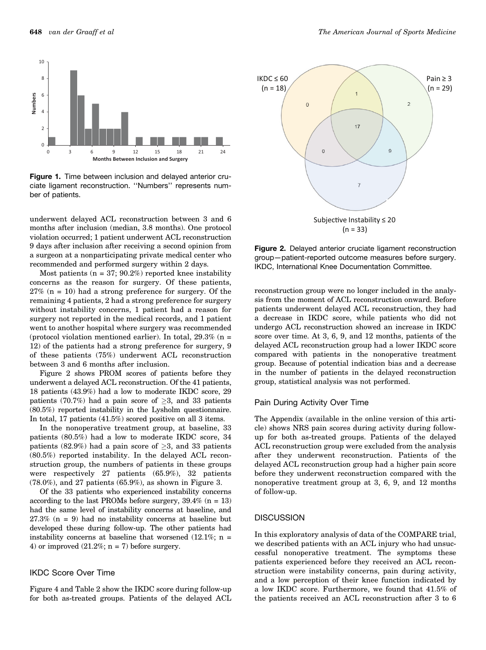

Figure 1. Time between inclusion and delayed anterior cruciate ligament reconstruction. ''Numbers'' represents number of patients.

underwent delayed ACL reconstruction between 3 and 6 months after inclusion (median, 3.8 months). One protocol violation occurred; 1 patient underwent ACL reconstruction 9 days after inclusion after receiving a second opinion from a surgeon at a nonparticipating private medical center who recommended and performed surgery within 2 days.

Most patients ( $n = 37$ ; 90.2%) reported knee instability concerns as the reason for surgery. Of these patients,  $27\%$  (n = 10) had a strong preference for surgery. Of the remaining 4 patients, 2 had a strong preference for surgery without instability concerns, 1 patient had a reason for surgery not reported in the medical records, and 1 patient went to another hospital where surgery was recommended (protocol violation mentioned earlier). In total,  $29.3\%$  (n = 12) of the patients had a strong preference for surgery, 9 of these patients (75%) underwent ACL reconstruction between 3 and 6 months after inclusion.

Figure 2 shows PROM scores of patients before they underwent a delayed ACL reconstruction. Of the 41 patients, 18 patients (43.9%) had a low to moderate IKDC score, 29 patients (70.7%) had a pain score of  $>3$ , and 33 patients (80.5%) reported instability in the Lysholm questionnaire. In total, 17 patients (41.5%) scored positive on all 3 items.

In the nonoperative treatment group, at baseline, 33 patients (80.5%) had a low to moderate IKDC score, 34 patients (82.9%) had a pain score of  $\geq$ 3, and 33 patients (80.5%) reported instability. In the delayed ACL reconstruction group, the numbers of patients in these groups were respectively 27 patients (65.9%), 32 patients (78.0%), and 27 patients (65.9%), as shown in Figure 3.

Of the 33 patients who experienced instability concerns according to the last PROMs before surgery,  $39.4\%$  (n = 13) had the same level of instability concerns at baseline, and  $27.3\%$  (n = 9) had no instability concerns at baseline but developed these during follow-up. The other patients had instability concerns at baseline that worsened  $(12.1\%; n =$ 4) or improved  $(21.2\%; n = 7)$  before surgery.

# IKDC Score Over Time

Figure 4 and Table 2 show the IKDC score during follow-up for both as-treated groups. Patients of the delayed ACL



Figure 2. Delayed anterior cruciate ligament reconstruction group—patient-reported outcome measures before surgery. IKDC, International Knee Documentation Committee.

reconstruction group were no longer included in the analysis from the moment of ACL reconstruction onward. Before patients underwent delayed ACL reconstruction, they had a decrease in IKDC score, while patients who did not undergo ACL reconstruction showed an increase in IKDC score over time. At 3, 6, 9, and 12 months, patients of the delayed ACL reconstruction group had a lower IKDC score compared with patients in the nonoperative treatment group. Because of potential indication bias and a decrease in the number of patients in the delayed reconstruction group, statistical analysis was not performed.

#### Pain During Activity Over Time

The Appendix (available in the online version of this article) shows NRS pain scores during activity during followup for both as-treated groups. Patients of the delayed ACL reconstruction group were excluded from the analysis after they underwent reconstruction. Patients of the delayed ACL reconstruction group had a higher pain score before they underwent reconstruction compared with the nonoperative treatment group at 3, 6, 9, and 12 months of follow-up.

#### **DISCUSSION**

In this exploratory analysis of data of the COMPARE trial, we described patients with an ACL injury who had unsuccessful nonoperative treatment. The symptoms these patients experienced before they received an ACL reconstruction were instability concerns, pain during activity, and a low perception of their knee function indicated by a low IKDC score. Furthermore, we found that 41.5% of the patients received an ACL reconstruction after 3 to 6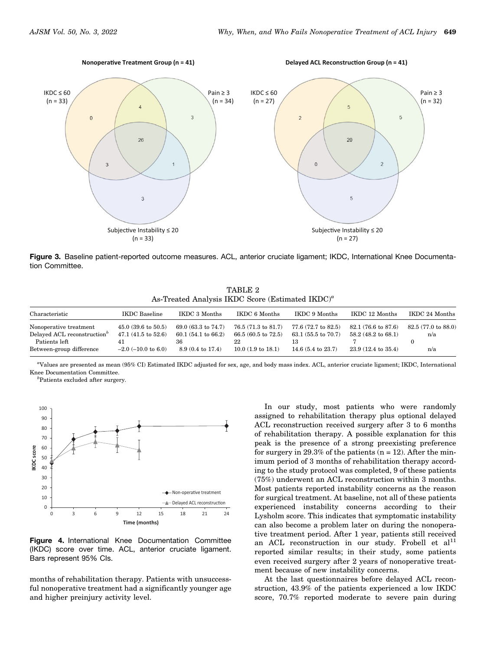**Nonoperative Treatment Group (n = 41)** 

**Delayed ACL Reconstruction Group (n = 41)** 



Figure 3. Baseline patient-reported outcome measures. ACL, anterior cruciate ligament; IKDC, International Knee Documentation Committee.

TABLE 2 As-Treated Analysis IKDC Score (Estimated  $IKDC$ )<sup>a</sup>

| Characteristic                                                    | <b>IKDC</b> Baseline                                           | IKDC 3 Months                                                  | IKDC 6 Months                                                  | IKDC 9 Months                                        | IKDC 12 Months                                       | IKDC 24 Months                       |
|-------------------------------------------------------------------|----------------------------------------------------------------|----------------------------------------------------------------|----------------------------------------------------------------|------------------------------------------------------|------------------------------------------------------|--------------------------------------|
| Nonoperative treatment<br>Delayed ACL reconstruction <sup>b</sup> | $45.0(39.6 \text{ to } 50.5)$<br>$47.1(41.5 \text{ to } 52.6)$ | $69.0(63.3 \text{ to } 74.7)$<br>$60.1(54.1 \text{ to } 66.2)$ | $76.5(71.3 \text{ to } 81.7)$<br>$66.5(60.5 \text{ to } 72.5)$ | 77.6 (72.7 to 82.5)<br>$63.1(55.5 \text{ to } 70.7)$ | 82.1 (76.6 to 87.6)<br>$58.2(48.2 \text{ to } 68.1)$ | $82.5(77.0 \text{ to } 88.0)$<br>n/a |
| Patients left                                                     | 41                                                             | 36                                                             | 22                                                             | 13                                                   |                                                      |                                      |
| Between-group difference                                          | $-2.0$ ( $-10.0$ to 6.0)                                       | $8.9(0.4 \text{ to } 17.4)$                                    | $10.0(1.9 \text{ to } 18.1)$                                   | 14.6 $(5.4 \text{ to } 23.7)$                        | $23.9(12.4 \text{ to } 35.4)$                        | n/a                                  |

a Values are presented as mean (95% CI) Estimated IKDC adjusted for sex, age, and body mass index. ACL, anterior cruciate ligament; IKDC, International Knee Documentation Committee.

b Patients excluded after surgery.



Figure 4. International Knee Documentation Committee (IKDC) score over time. ACL, anterior cruciate ligament. Bars represent 95% CIs.

months of rehabilitation therapy. Patients with unsuccessful nonoperative treatment had a significantly younger age and higher preinjury activity level.

In our study, most patients who were randomly assigned to rehabilitation therapy plus optional delayed ACL reconstruction received surgery after 3 to 6 months of rehabilitation therapy. A possible explanation for this peak is the presence of a strong preexisting preference for surgery in 29.3% of the patients  $(n = 12)$ . After the minimum period of 3 months of rehabilitation therapy according to the study protocol was completed, 9 of these patients (75%) underwent an ACL reconstruction within 3 months. Most patients reported instability concerns as the reason for surgical treatment. At baseline, not all of these patients experienced instability concerns according to their Lysholm score. This indicates that symptomatic instability can also become a problem later on during the nonoperative treatment period. After 1 year, patients still received an ACL reconstruction in our study. Frobell et  $al<sup>11</sup>$ reported similar results; in their study, some patients even received surgery after 2 years of nonoperative treatment because of new instability concerns.

At the last questionnaires before delayed ACL reconstruction, 43.9% of the patients experienced a low IKDC score, 70.7% reported moderate to severe pain during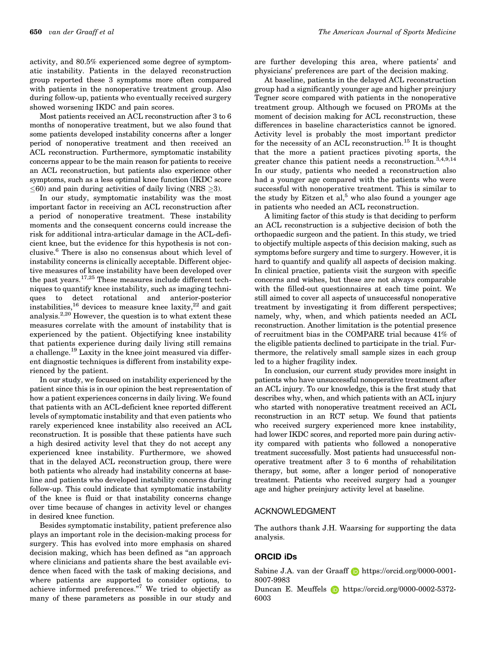650 van der Graaff et al The American Journal of Sports Medicine

activity, and 80.5% experienced some degree of symptomatic instability. Patients in the delayed reconstruction group reported these 3 symptoms more often compared with patients in the nonoperative treatment group. Also during follow-up, patients who eventually received surgery showed worsening IKDC and pain scores.

Most patients received an ACL reconstruction after 3 to 6 months of nonoperative treatment, but we also found that some patients developed instability concerns after a longer period of nonoperative treatment and then received an ACL reconstruction. Furthermore, symptomatic instability concerns appear to be the main reason for patients to receive an ACL reconstruction, but patients also experience other symptoms, such as a less optimal knee function (IKDC score  $\leq$ 60) and pain during activities of daily living (NRS  $\geq$ 3).

In our study, symptomatic instability was the most important factor in receiving an ACL reconstruction after a period of nonoperative treatment. These instability moments and the consequent concerns could increase the risk for additional intra-articular damage in the ACL-deficient knee, but the evidence for this hypothesis is not conclusive.6 There is also no consensus about which level of instability concerns is clinically acceptable. Different objective measures of knee instability have been developed over the past years. $17,25$  These measures include different techniques to quantify knee instability, such as imaging techniques to detect rotational and anterior-posterior instabilities,<sup>16</sup> devices to measure knee laxity,<sup>22</sup> and gait analysis.<sup>2,20</sup> However, the question is to what extent these measures correlate with the amount of instability that is experienced by the patient. Objectifying knee instability that patients experience during daily living still remains a challenge.<sup>19</sup> Laxity in the knee joint measured via different diagnostic techniques is different from instability experienced by the patient.

In our study, we focused on instability experienced by the patient since this is in our opinion the best representation of how a patient experiences concerns in daily living. We found that patients with an ACL-deficient knee reported different levels of symptomatic instability and that even patients who rarely experienced knee instability also received an ACL reconstruction. It is possible that these patients have such a high desired activity level that they do not accept any experienced knee instability. Furthermore, we showed that in the delayed ACL reconstruction group, there were both patients who already had instability concerns at baseline and patients who developed instability concerns during follow-up. This could indicate that symptomatic instability of the knee is fluid or that instability concerns change over time because of changes in activity level or changes in desired knee function.

Besides symptomatic instability, patient preference also plays an important role in the decision-making process for surgery. This has evolved into more emphasis on shared decision making, which has been defined as ''an approach where clinicians and patients share the best available evidence when faced with the task of making decisions, and where patients are supported to consider options, to achieve informed preferences.''<sup>7</sup> We tried to objectify as many of these parameters as possible in our study and

are further developing this area, where patients' and physicians' preferences are part of the decision making.

At baseline, patients in the delayed ACL reconstruction group had a significantly younger age and higher preinjury Tegner score compared with patients in the nonoperative treatment group. Although we focused on PROMs at the moment of decision making for ACL reconstruction, these differences in baseline characteristics cannot be ignored. Activity level is probably the most important predictor for the necessity of an ACL reconstruction.<sup>15</sup> It is thought that the more a patient practices pivoting sports, the greater chance this patient needs a reconstruction.<sup>3,4,9,14</sup> In our study, patients who needed a reconstruction also had a younger age compared with the patients who were successful with nonoperative treatment. This is similar to the study by Eitzen et al,<sup>5</sup> who also found a younger age in patients who needed an ACL reconstruction.

A limiting factor of this study is that deciding to perform an ACL reconstruction is a subjective decision of both the orthopaedic surgeon and the patient. In this study, we tried to objectify multiple aspects of this decision making, such as symptoms before surgery and time to surgery. However, it is hard to quantify and qualify all aspects of decision making. In clinical practice, patients visit the surgeon with specific concerns and wishes, but these are not always comparable with the filled-out questionnaires at each time point. We still aimed to cover all aspects of unsuccessful nonoperative treatment by investigating it from different perspectives; namely, why, when, and which patients needed an ACL reconstruction. Another limitation is the potential presence of recruitment bias in the COMPARE trial because 41% of the eligible patients declined to participate in the trial. Furthermore, the relatively small sample sizes in each group led to a higher fragility index.

In conclusion, our current study provides more insight in patients who have unsuccessful nonoperative treatment after an ACL injury. To our knowledge, this is the first study that describes why, when, and which patients with an ACL injury who started with nonoperative treatment received an ACL reconstruction in an RCT setup. We found that patients who received surgery experienced more knee instability, had lower IKDC scores, and reported more pain during activity compared with patients who followed a nonoperative treatment successfully. Most patients had unsuccessful nonoperative treatment after 3 to 6 months of rehabilitation therapy, but some, after a longer period of nonoperative treatment. Patients who received surgery had a younger age and higher preinjury activity level at baseline.

#### ACKNOWLEDGMENT

The authors thank J.H. Waarsing for supporting the data analysis.

# ORCID iDs

Sabine J.A. van der Graaff **b**https://orcid.org/0000-0001-8007-9983

Duncan E. Meuffels **b** https://orcid.org/0000-0002-5372-6003